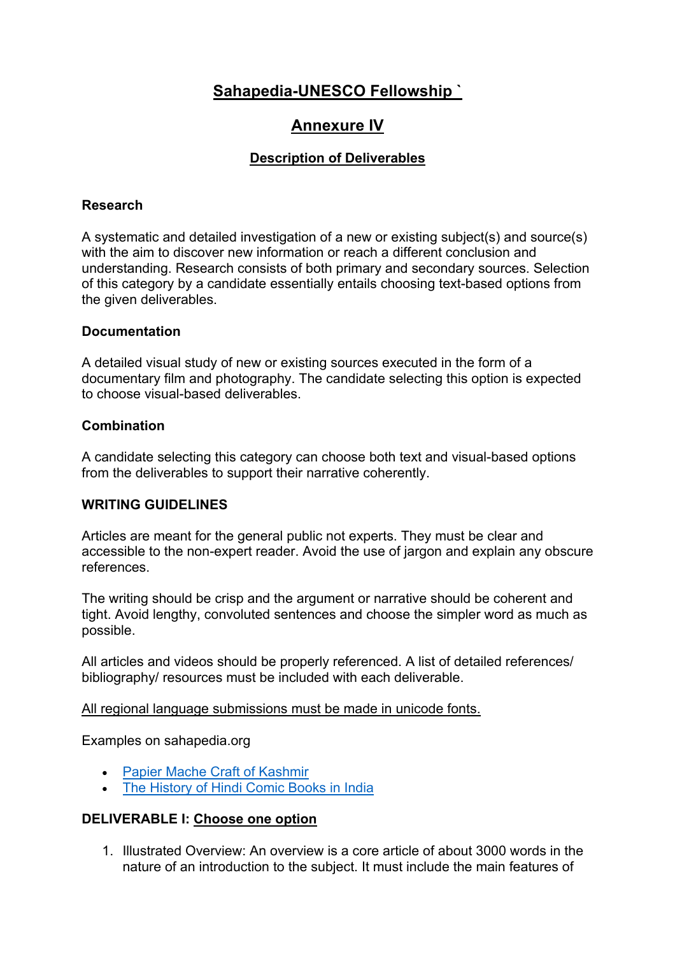# **Sahapedia-UNESCO Fellowship `**

## **Annexure IV**

### **Description of Deliverables**

#### **Research**

A systematic and detailed investigation of a new or existing subject(s) and source(s) with the aim to discover new information or reach a different conclusion and understanding. Research consists of both primary and secondary sources. Selection of this category by a candidate essentially entails choosing text-based options from the given deliverables.

#### **Documentation**

A detailed visual study of new or existing sources executed in the form of a documentary film and photography. The candidate selecting this option is expected to choose visual-based deliverables.

#### **Combination**

A candidate selecting this category can choose both text and visual-based options from the deliverables to support their narrative coherently.

#### **WRITING GUIDELINES**

Articles are meant for the general public not experts. They must be clear and accessible to the non-expert reader. Avoid the use of jargon and explain any obscure references.

The writing should be crisp and the argument or narrative should be coherent and tight. Avoid lengthy, convoluted sentences and choose the simpler word as much as possible.

All articles and videos should be properly referenced. A list of detailed references/ bibliography/ resources must be included with each deliverable.

#### All regional language submissions must be made in unicode fonts.

Examples on sahapedia.org

- Papier Mache Craft of Kashmir
- The History of Hindi Comic Books in India

#### **DELIVERABLE I: Choose one option**

1. Illustrated Overview: An overview is a core article of about 3000 words in the nature of an introduction to the subject. It must include the main features of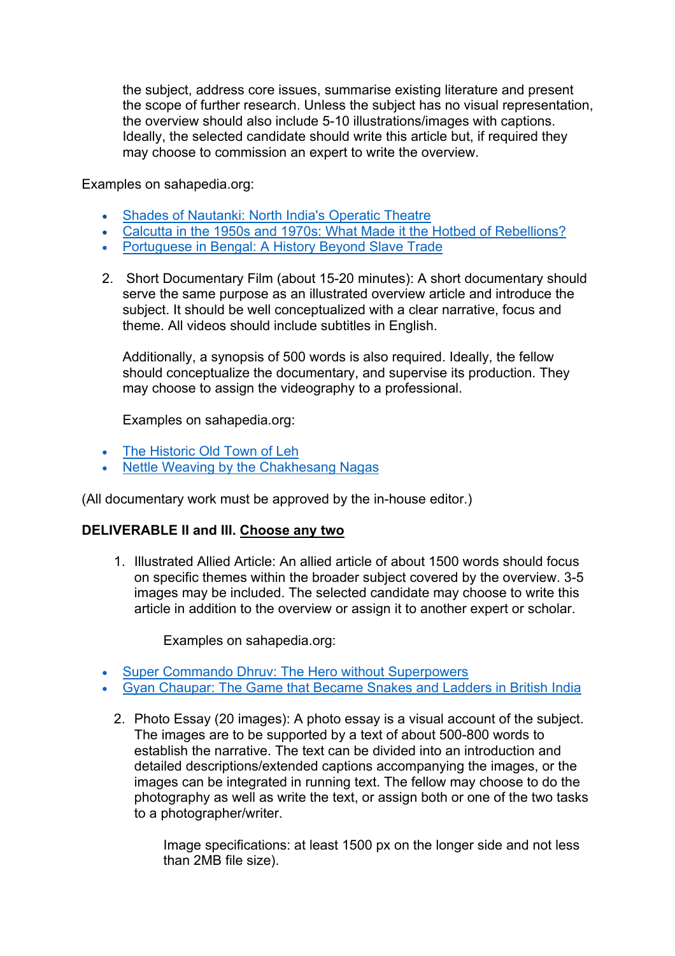the subject, address core issues, summarise existing literature and present the scope of further research. Unless the subject has no visual representation, the overview should also include 5-10 illustrations/images with captions. Ideally, the selected candidate should write this article but, if required they may choose to commission an expert to write the overview.

Examples on sahapedia.org:

- Shades of Nautanki: North India's Operatic Theatre
- Calcutta in the 1950s and 1970s: What Made it the Hotbed of Rebellions?
- Portuguese in Bengal: A History Beyond Slave Trade
- 2. Short Documentary Film (about 15-20 minutes): A short documentary should serve the same purpose as an illustrated overview article and introduce the subject. It should be well conceptualized with a clear narrative, focus and theme. All videos should include subtitles in English.

Additionally, a synopsis of 500 words is also required. Ideally, the fellow should conceptualize the documentary, and supervise its production. They may choose to assign the videography to a professional.

Examples on sahapedia.org:

- The Historic Old Town of Leh
- Nettle Weaving by the Chakhesang Nagas

(All documentary work must be approved by the in-house editor.)

#### **DELIVERABLE II and III. Choose any two**

1. Illustrated Allied Article: An allied article of about 1500 words should focus on specific themes within the broader subject covered by the overview. 3-5 images may be included. The selected candidate may choose to write this article in addition to the overview or assign it to another expert or scholar.

Examples on sahapedia.org:

- Super Commando Dhruv: The Hero without Superpowers
- Gyan Chaupar: The Game that Became Snakes and Ladders in British India
	- 2. Photo Essay (20 images): A photo essay is a visual account of the subject. The images are to be supported by a text of about 500-800 words to establish the narrative. The text can be divided into an introduction and detailed descriptions/extended captions accompanying the images, or the images can be integrated in running text. The fellow may choose to do the photography as well as write the text, or assign both or one of the two tasks to a photographer/writer.

Image specifications: at least 1500 px on the longer side and not less than 2MB file size).